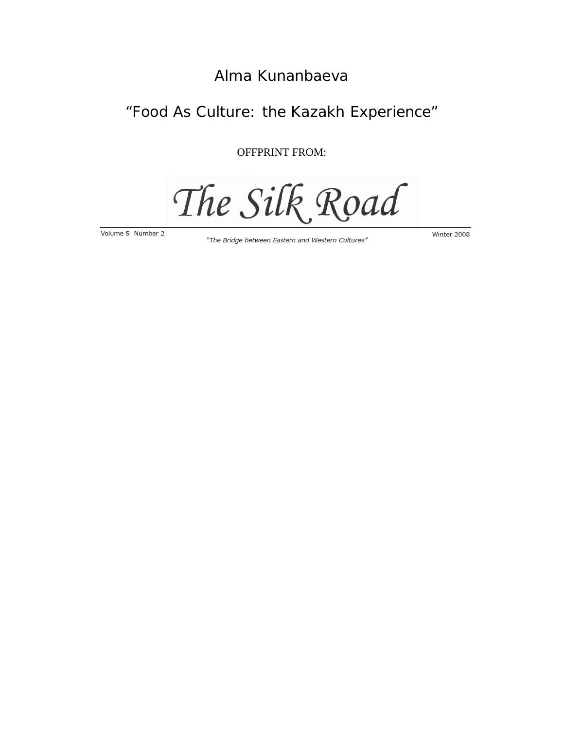## Alma Kunanbaeva

## "Food As Culture: the Kazakh Experience"

OFFPRINT FROM:

The Silk Road

Volume 5 Number 2

"The Bridge between Eastern and Western Cultures"

Winter 2008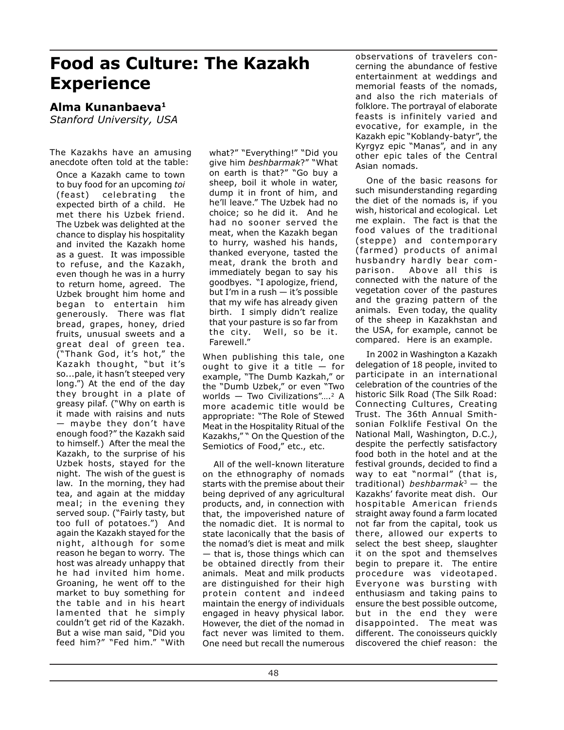# **Food as Culture: The Kazakh Experience**

### **Alma Kunanbaeva1**

*Stanford University, USA*

The Kazakhs have an amusing anecdote often told at the table:

Once a Kazakh came to town to buy food for an upcoming *toi* (feast) celebrating the expected birth of a child. He met there his Uzbek friend. The Uzbek was delighted at the chance to display his hospitality and invited the Kazakh home as a guest. It was impossible to refuse, and the Kazakh, even though he was in a hurry to return home, agreed. The Uzbek brought him home and began to entertain him generously. There was flat bread, grapes, honey, dried fruits, unusual sweets and a great deal of green tea. ("Thank God, it's hot," the Kazakh thought, "but it's so...pale, it hasn't steeped very long.") At the end of the day they brought in a plate of greasy pilaf. ("Why on earth is it made with raisins and nuts — maybe they don't have enough food?" the Kazakh said to himself.) After the meal the Kazakh, to the surprise of his Uzbek hosts, stayed for the night. The wish of the guest is law. In the morning, they had tea, and again at the midday meal; in the evening they served soup. ("Fairly tasty, but too full of potatoes.") And again the Kazakh stayed for the night, although for some reason he began to worry. The host was already unhappy that he had invited him home. Groaning, he went off to the market to buy something for the table and in his heart lamented that he simply couldn't get rid of the Kazakh. But a wise man said, "Did you feed him?" "Fed him." "With

what?" "Everything!" "Did you give him *beshbarmak*?" "What on earth is that?" "Go buy a sheep, boil it whole in water, dump it in front of him, and he'll leave." The Uzbek had no choice; so he did it. And he had no sooner served the meat, when the Kazakh began to hurry, washed his hands, thanked everyone, tasted the meat, drank the broth and immediately began to say his goodbyes. "I apologize, friend, but I'm in a rush — it's possible that my wife has already given birth. I simply didn't realize that your pasture is so far from the city. Well, so be it. Farewell."

When publishing this tale, one ought to give it a title — for example, "The Dumb Kazkah," or the "Dumb Uzbek," or even "Two worlds — Two Civilizations"....<sup>2</sup> A more academic title would be appropriate: "The Role of Stewed Meat in the Hospitality Ritual of the Kazakhs," " On the Question of the Semiotics of Food," etc., etc.

All of the well-known literature on the ethnography of nomads starts with the premise about their being deprived of any agricultural products, and, in connection with that, the impoverished nature of the nomadic diet. It is normal to state laconically that the basis of the nomad's diet is meat and milk — that is, those things which can be obtained directly from their animals. Meat and milk products are distinguished for their high protein content and indeed maintain the energy of individuals engaged in heavy physical labor. However, the diet of the nomad in fact never was limited to them. One need but recall the numerous observations of travelers concerning the abundance of festive entertainment at weddings and memorial feasts of the nomads, and also the rich materials of folklore. The portrayal of elaborate feasts is infinitely varied and evocative, for example, in the Kazakh epic "Koblandy-batyr", the Kyrgyz epic "Manas", and in any other epic tales of the Central Asian nomads.

One of the basic reasons for such misunderstanding regarding the diet of the nomads is, if you wish, historical and ecological. Let me explain. The fact is that the food values of the traditional (steppe) and contemporary (farmed) products of animal husbandry hardly bear comparison. Above all this is connected with the nature of the vegetation cover of the pastures and the grazing pattern of the animals. Even today, the quality of the sheep in Kazakhstan and the USA, for example, cannot be compared. Here is an example.

In 2002 in Washington a Kazakh delegation of 18 people, invited to participate in an international celebration of the countries of the historic Silk Road (The Silk Road: Connecting Cultures, Creating Trust. The 36th Annual Smithsonian Folklife Festival On the National Mall, Washington, D.C.*)*, despite the perfectly satisfactory food both in the hotel and at the festival grounds, decided to find a way to eat "normal" (that is, traditional) *beshbarmak*<sup>3</sup> — the Kazakhs' favorite meat dish. Our hospitable American friends straight away found a farm located not far from the capital, took us there, allowed our experts to select the best sheep, slaughter it on the spot and themselves begin to prepare it. The entire procedure was videotaped. Everyone was bursting with enthusiasm and taking pains to ensure the best possible outcome, but in the end they were disappointed. The meat was different. The conoisseurs quickly discovered the chief reason: the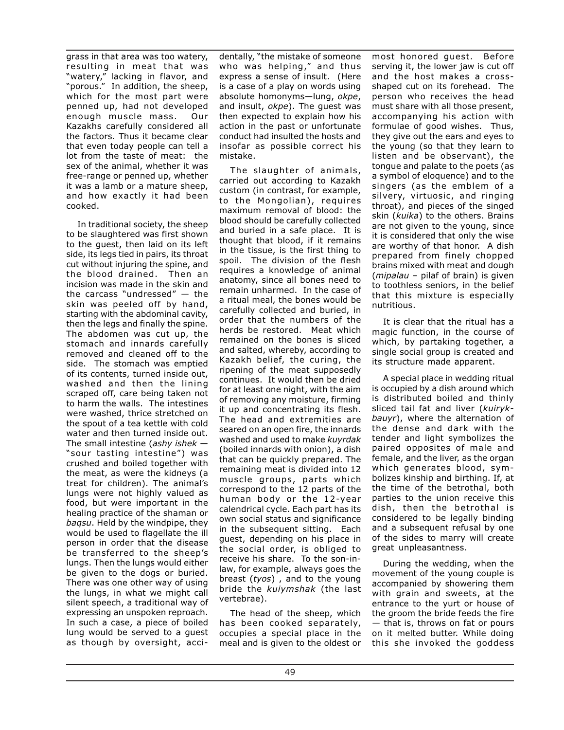grass in that area was too watery, resulting in meat that was "watery," lacking in flavor, and "porous." In addition, the sheep, which for the most part were penned up, had not developed enough muscle mass. Our Kazakhs carefully considered all the factors. Thus it became clear that even today people can tell a lot from the taste of meat: the sex of the animal, whether it was free-range or penned up, whether it was a lamb or a mature sheep, and how exactly it had been cooked.

In traditional society, the sheep to be slaughtered was first shown to the guest, then laid on its left side, its legs tied in pairs, its throat cut without injuring the spine, and the blood drained. Then an incision was made in the skin and the carcass "undressed" — the skin was peeled off by hand, starting with the abdominal cavity, then the legs and finally the spine. The abdomen was cut up, the stomach and innards carefully removed and cleaned off to the side. The stomach was emptied of its contents, turned inside out, washed and then the lining scraped off, care being taken not to harm the walls. The intestines were washed, thrice stretched on the spout of a tea kettle with cold water and then turned inside out. The small intestine (*ashy ishek* — "sour tasting intestine") was crushed and boiled together with the meat, as were the kidneys (a treat for children). The animal's lungs were not highly valued as food, but were important in the healing practice of the shaman or *baqsu*. Held by the windpipe, they would be used to flagellate the ill person in order that the disease be transferred to the sheep's lungs. Then the lungs would either be given to the dogs or buried. There was one other way of using the lungs, in what we might call silent speech, a traditional way of expressing an unspoken reproach. In such a case, a piece of boiled lung would be served to a guest as though by oversight, acci-

dentally, "the mistake of someone who was helping," and thus express a sense of insult. (Here is a case of a play on words using absolute homonyms—lung, *okpe*, and insult, *okpe*). The guest was then expected to explain how his action in the past or unfortunate conduct had insulted the hosts and insofar as possible correct his mistake.

The slaughter of animals, carried out according to Kazakh custom (in contrast, for example, to the Mongolian), requires maximum removal of blood: the blood should be carefully collected and buried in a safe place. It is thought that blood, if it remains in the tissue, is the first thing to spoil. The division of the flesh requires a knowledge of animal anatomy, since all bones need to remain unharmed. In the case of a ritual meal, the bones would be carefully collected and buried, in order that the numbers of the herds be restored. Meat which remained on the bones is sliced and salted, whereby, according to Kazakh belief, the curing, the ripening of the meat supposedly continues. It would then be dried for at least one night, with the aim of removing any moisture, firming it up and concentrating its flesh. The head and extremities are seared on an open fire, the innards washed and used to make *kuyrdak* (boiled innards with onion), a dish that can be quickly prepared. The remaining meat is divided into 12 muscle groups, parts which correspond to the 12 parts of the human body or the 12-year calendrical cycle. Each part has its own social status and significance in the subsequent sitting. Each guest, depending on his place in the social order, is obliged to receive his share. To the son-inlaw, for example, always goes the breast (*tyos*) , and to the young bride the *kuiymshak* (the last vertebrae).

The head of the sheep, which has been cooked separately, occupies a special place in the meal and is given to the oldest or

most honored guest. Before serving it, the lower jaw is cut off and the host makes a crossshaped cut on its forehead. The person who receives the head must share with all those present, accompanying his action with formulae of good wishes. Thus, they give out the ears and eyes to the young (so that they learn to listen and be observant), the tongue and palate to the poets (as a symbol of eloquence) and to the singers (as the emblem of a silvery, virtuosic, and ringing throat), and pieces of the singed skin (*kuika*) to the others. Brains are not given to the young, since it is considered that only the wise are worthy of that honor. A dish prepared from finely chopped brains mixed with meat and dough (*mipalau* – pilaf of brain) is given to toothless seniors, in the belief that this mixture is especially nutritious.

It is clear that the ritual has a magic function, in the course of which, by partaking together, a single social group is created and its structure made apparent.

A special place in wedding ritual is occupied by a dish around which is distributed boiled and thinly sliced tail fat and liver (*kuirykbauyr*), where the alternation of the dense and dark with the tender and light symbolizes the paired opposites of male and female, and the liver, as the organ which generates blood, symbolizes kinship and birthing. If, at the time of the betrothal, both parties to the union receive this dish, then the betrothal is considered to be legally binding and a subsequent refusal by one of the sides to marry will create great unpleasantness.

During the wedding, when the movement of the young couple is accompanied by showering them with grain and sweets, at the entrance to the yurt or house of the groom the bride feeds the fire — that is, throws on fat or pours on it melted butter. While doing this she invoked the goddess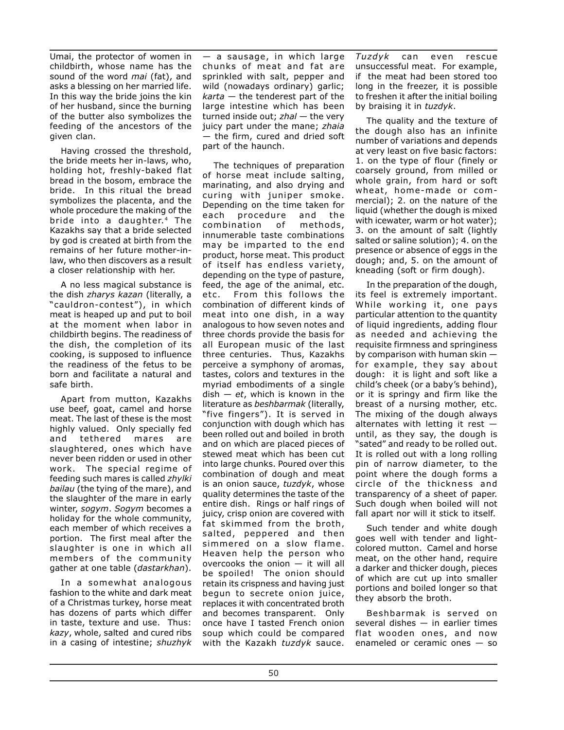Umai, the protector of women in childbirth, whose name has the sound of the word *mai* (fat), and asks a blessing on her married life. In this way the bride joins the kin of her husband, since the burning of the butter also symbolizes the feeding of the ancestors of the given clan.

Having crossed the threshold, the bride meets her in-laws, who, holding hot, freshly-baked flat bread in the bosom, embrace the bride. In this ritual the bread symbolizes the placenta, and the whole procedure the making of the bride into a daughter.4 The Kazakhs say that a bride selected by god is created at birth from the remains of her future mother-inlaw, who then discovers as a result a closer relationship with her.

A no less magical substance is the dish *zharys kazan* (literally, a "cauldron-contest"), in which meat is heaped up and put to boil at the moment when labor in childbirth begins. The readiness of the dish, the completion of its cooking, is supposed to influence the readiness of the fetus to be born and facilitate a natural and safe birth.

Apart from mutton, Kazakhs use beef, goat, camel and horse meat. The last of these is the most highly valued. Only specially fed<br>and tethered mares are and tethered mares are slaughtered, ones which have never been ridden or used in other work. The special regime of feeding such mares is called *zhylki bailau* (the tying of the mare), and the slaughter of the mare in early winter, *sogym*. *Sogym* becomes a holiday for the whole community, each member of which receives a portion. The first meal after the slaughter is one in which all members of the community gather at one table (*dastarkhan*).

In a somewhat analogous fashion to the white and dark meat of a Christmas turkey, horse meat has dozens of parts which differ in taste, texture and use. Thus: *kazy*, whole, salted and cured ribs in a casing of intestine; *shuzhyk*

— a sausage, in which large chunks of meat and fat are sprinkled with salt, pepper and wild (nowadays ordinary) garlic; *karta* — the tenderest part of the large intestine which has been turned inside out; *zhal* — the very juicy part under the mane; *zhaia* — the firm, cured and dried soft part of the haunch.

The techniques of preparation of horse meat include salting, marinating, and also drying and curing with juniper smoke. Depending on the time taken for each procedure and the combination of methods, innumerable taste combinations may be imparted to the end product, horse meat. This product of itself has endless variety, depending on the type of pasture, feed, the age of the animal, etc. etc. From this follows the combination of different kinds of meat into one dish, in a way analogous to how seven notes and three chords provide the basis for all European music of the last three centuries. Thus, Kazakhs perceive a symphony of aromas, tastes, colors and textures in the myriad embodiments of a single dish — *et*, which is known in the literature as *beshbarmak* (literally, "five fingers"). It is served in conjunction with dough which has been rolled out and boiled in broth and on which are placed pieces of stewed meat which has been cut into large chunks. Poured over this combination of dough and meat is an onion sauce, *tuzdyk*, whose quality determines the taste of the entire dish. Rings or half rings of juicy, crisp onion are covered with fat skimmed from the broth, salted, peppered and then simmered on a slow flame. Heaven help the person who overcooks the onion — it will all be spoiled! The onion should retain its crispness and having just begun to secrete onion juice, replaces it with concentrated broth and becomes transparent. Only once have I tasted French onion soup which could be compared with the Kazakh *tuzdyk* sauce.

*Tuzdyk* can even rescue unsuccessful meat. For example, if the meat had been stored too long in the freezer, it is possible to freshen it after the initial boiling by braising it in *tuzdyk*.

The quality and the texture of the dough also has an infinite number of variations and depends at very least on five basic factors: 1. on the type of flour (finely or coarsely ground, from milled or whole grain, from hard or soft wheat, home-made or commercial); 2. on the nature of the liquid (whether the dough is mixed with icewater, warm or hot water); 3. on the amount of salt (lightly salted or saline solution); 4. on the presence or absence of eggs in the dough; and, 5. on the amount of kneading (soft or firm dough).

In the preparation of the dough, its feel is extremely important. While working it, one pays particular attention to the quantity of liquid ingredients, adding flour as needed and achieving the requisite firmness and springiness by comparison with human skin for example, they say about dough: it is light and soft like a child's cheek (or a baby's behind), or it is springy and firm like the breast of a nursing mother, etc. The mixing of the dough always alternates with letting it rest  $$ until, as they say, the dough is "sated" and ready to be rolled out. It is rolled out with a long rolling pin of narrow diameter, to the point where the dough forms a circle of the thickness and transparency of a sheet of paper. Such dough when boiled will not fall apart nor will it stick to itself.

Such tender and white dough goes well with tender and lightcolored mutton. Camel and horse meat, on the other hand, require a darker and thicker dough, pieces of which are cut up into smaller portions and boiled longer so that they absorb the broth.

Beshbarmak is served on several dishes — in earlier times flat wooden ones, and now enameled or ceramic ones — so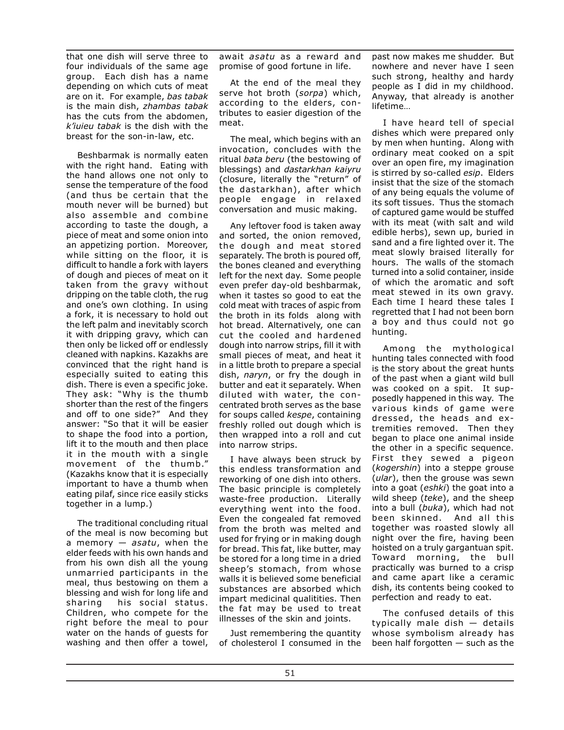that one dish will serve three to four individuals of the same age group. Each dish has a name depending on which cuts of meat are on it. For example, *bas tabak* is the main dish, *zhambas tabak* has the cuts from the abdomen, *k'iuieu tabak* is the dish with the breast for the son-in-law, etc.

Beshbarmak is normally eaten with the right hand. Eating with the hand allows one not only to sense the temperature of the food (and thus be certain that the mouth never will be burned) but also assemble and combine according to taste the dough, a piece of meat and some onion into an appetizing portion. Moreover, while sitting on the floor, it is difficult to handle a fork with layers of dough and pieces of meat on it taken from the gravy without dripping on the table cloth, the rug and one's own clothing. In using a fork, it is necessary to hold out the left palm and inevitably scorch it with dripping gravy, which can then only be licked off or endlessly cleaned with napkins. Kazakhs are convinced that the right hand is especially suited to eating this dish. There is even a specific joke. They ask: "Why is the thumb shorter than the rest of the fingers and off to one side?" And they answer: "So that it will be easier to shape the food into a portion, lift it to the mouth and then place it in the mouth with a single movement of the thumb." (Kazakhs know that it is especially important to have a thumb when eating pilaf, since rice easily sticks together in a lump.)

The traditional concluding ritual of the meal is now becoming but a memory — *asatu*, when the elder feeds with his own hands and from his own dish all the young unmarried participants in the meal, thus bestowing on them a blessing and wish for long life and sharing his social status. Children, who compete for the right before the meal to pour water on the hands of guests for washing and then offer a towel,

await *asatu* as a reward and promise of good fortune in life.

At the end of the meal they serve hot broth (*sorpa*) which, according to the elders, contributes to easier digestion of the meat.

The meal, which begins with an invocation, concludes with the ritual *bata beru* (the bestowing of blessings) and *dastarkhan kaiyru* (closure, literally the "return" of the dastarkhan), after which people engage in relaxed conversation and music making.

Any leftover food is taken away and sorted, the onion removed, the dough and meat stored separately. The broth is poured off, the bones cleaned and everything left for the next day. Some people even prefer day-old beshbarmak, when it tastes so good to eat the cold meat with traces of aspic from the broth in its folds along with hot bread. Alternatively, one can cut the cooled and hardened dough into narrow strips, fill it with small pieces of meat, and heat it in a little broth to prepare a special dish, *naryn*, or fry the dough in butter and eat it separately. When diluted with water, the concentrated broth serves as the base for soups called *kespe*, containing freshly rolled out dough which is then wrapped into a roll and cut into narrow strips.

I have always been struck by this endless transformation and reworking of one dish into others. The basic principle is completely waste-free production. Literally everything went into the food. Even the congealed fat removed from the broth was melted and used for frying or in making dough for bread. This fat, like butter, may be stored for a long time in a dried sheep's stomach, from whose walls it is believed some beneficial substances are absorbed which impart medicinal qualitities. Then the fat may be used to treat illnesses of the skin and joints.

Just remembering the quantity of cholesterol I consumed in the past now makes me shudder. But nowhere and never have I seen such strong, healthy and hardy people as I did in my childhood. Anyway, that already is another lifetime…

I have heard tell of special dishes which were prepared only by men when hunting. Along with ordinary meat cooked on a spit over an open fire, my imagination is stirred by so-called *esip*. Elders insist that the size of the stomach of any being equals the volume of its soft tissues. Thus the stomach of captured game would be stuffed with its meat (with salt and wild edible herbs), sewn up, buried in sand and a fire lighted over it. The meat slowly braised literally for hours. The walls of the stomach turned into a solid container, inside of which the aromatic and soft meat stewed in its own gravy. Each time I heard these tales I regretted that I had not been born a boy and thus could not go hunting.

Among the mythological hunting tales connected with food is the story about the great hunts of the past when a giant wild bull was cooked on a spit. It supposedly happened in this way. The various kinds of game were dressed, the heads and extremities removed. Then they began to place one animal inside the other in a specific sequence. First they sewed a pigeon (*kogershin*) into a steppe grouse (*ular*), then the grouse was sewn into a goat (*eshki*) the goat into a wild sheep (*teke*), and the sheep into a bull (*buka*), which had not been skinned. And all this together was roasted slowly all night over the fire, having been hoisted on a truly gargantuan spit. Toward morning, the bull practically was burned to a crisp and came apart like a ceramic dish, its contents being cooked to perfection and ready to eat.

The confused details of this typically male dish — details whose symbolism already has been half forgotten — such as the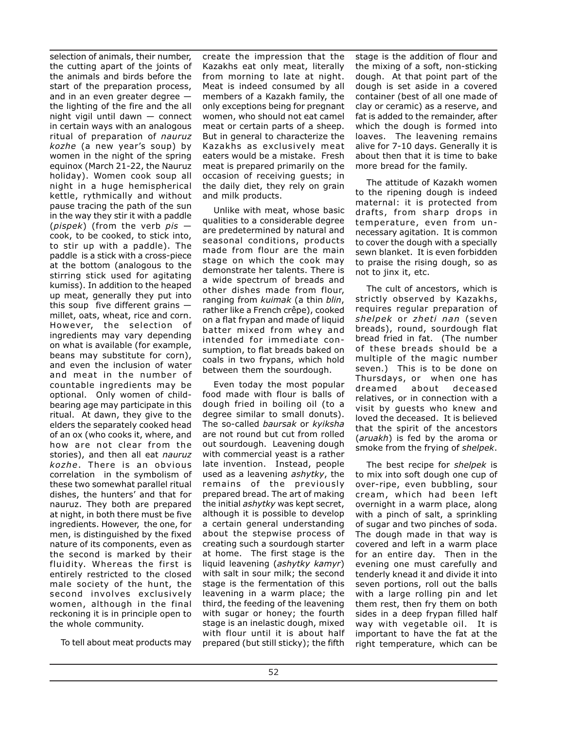selection of animals, their number, the cutting apart of the joints of the animals and birds before the start of the preparation process, and in an even greater degree the lighting of the fire and the all night vigil until dawn — connect in certain ways with an analogous ritual of preparation of *nauruz kozhe* (a new year's soup) by women in the night of the spring equinox (March 21-22, the Nauruz holiday). Women cook soup all night in a huge hemispherical kettle, rythmically and without pause tracing the path of the sun in the way they stir it with a paddle (*pispek*) (from the verb *pis* cook, to be cooked, to stick into, to stir up with a paddle). The paddle is a stick with a cross-piece at the bottom (analogous to the stirring stick used for agitating kumiss). In addition to the heaped up meat, generally they put into this soup five different grains millet, oats, wheat, rice and corn. However, the selection of ingredients may vary depending on what is available (for example, beans may substitute for corn), and even the inclusion of water and meat in the number of countable ingredients may be optional. Only women of childbearing age may participate in this ritual. At dawn, they give to the elders the separately cooked head of an ox (who cooks it, where, and how are not clear from the stories), and then all eat *nauruz kozhe*. There is an obvious correlation in the symbolism of these two somewhat parallel ritual dishes, the hunters' and that for nauruz. They both are prepared at night, in both there must be five ingredients. However, the one, for men, is distinguished by the fixed nature of its components, even as the second is marked by their fluidity. Whereas the first is entirely restricted to the closed male society of the hunt, the second involves exclusively women, although in the final reckoning it is in principle open to the whole community.

To tell about meat products may

create the impression that the Kazakhs eat only meat, literally from morning to late at night. Meat is indeed consumed by all members of a Kazakh family, the only exceptions being for pregnant women, who should not eat camel meat or certain parts of a sheep. But in general to characterize the Kazakhs as exclusively meat eaters would be a mistake. Fresh meat is prepared primarily on the occasion of receiving guests; in the daily diet, they rely on grain and milk products.

Unlike with meat, whose basic qualities to a considerable degree are predetermined by natural and seasonal conditions, products made from flour are the main stage on which the cook may demonstrate her talents. There is a wide spectrum of breads and other dishes made from flour, ranging from *kuimak* (a thin *blin*, rather like a French crêpe), cooked on a flat frypan and made of liquid batter mixed from whey and intended for immediate consumption, to flat breads baked on coals in two frypans, which hold between them the sourdough.

Even today the most popular food made with flour is balls of dough fried in boiling oil (to a degree similar to small donuts). The so-called *baursak* or *kyiksha* are not round but cut from rolled out sourdough. Leavening dough with commercial yeast is a rather late invention. Instead, people used as a leavening *ashytky*, the remains of the previously prepared bread. The art of making the initial *ashytky* was kept secret, although it is possible to develop a certain general understanding about the stepwise process of creating such a sourdough starter at home. The first stage is the liquid leavening (*ashytky kamyr*) with salt in sour milk; the second stage is the fermentation of this leavening in a warm place; the third, the feeding of the leavening with sugar or honey; the fourth stage is an inelastic dough, mixed with flour until it is about half prepared (but still sticky); the fifth

stage is the addition of flour and the mixing of a soft, non-sticking dough. At that point part of the dough is set aside in a covered container (best of all one made of clay or ceramic) as a reserve, and fat is added to the remainder, after which the dough is formed into loaves. The leavening remains alive for 7-10 days. Generally it is about then that it is time to bake more bread for the family.

The attitude of Kazakh women to the ripening dough is indeed maternal: it is protected from drafts, from sharp drops in temperature, even from unnecessary agitation. It is common to cover the dough with a specially sewn blanket. It is even forbidden to praise the rising dough, so as not to jinx it, etc.

The cult of ancestors, which is strictly observed by Kazakhs, requires regular preparation of *shelpek* or *zheti nan* (seven breads), round, sourdough flat bread fried in fat. (The number of these breads should be a multiple of the magic number seven.) This is to be done on Thursdays, or when one has dreamed about deceased relatives, or in connection with a visit by guests who knew and loved the deceased. It is believed that the spirit of the ancestors (*aruakh*) is fed by the aroma or smoke from the frying of *shelpek*.

The best recipe for *shelpek* is to mix into soft dough one cup of over-ripe, even bubbling, sour cream, which had been left overnight in a warm place, along with a pinch of salt, a sprinkling of sugar and two pinches of soda. The dough made in that way is covered and left in a warm place for an entire day. Then in the evening one must carefully and tenderly knead it and divide it into seven portions, roll out the balls with a large rolling pin and let them rest, then fry them on both sides in a deep frypan filled half way with vegetable oil. It is important to have the fat at the right temperature, which can be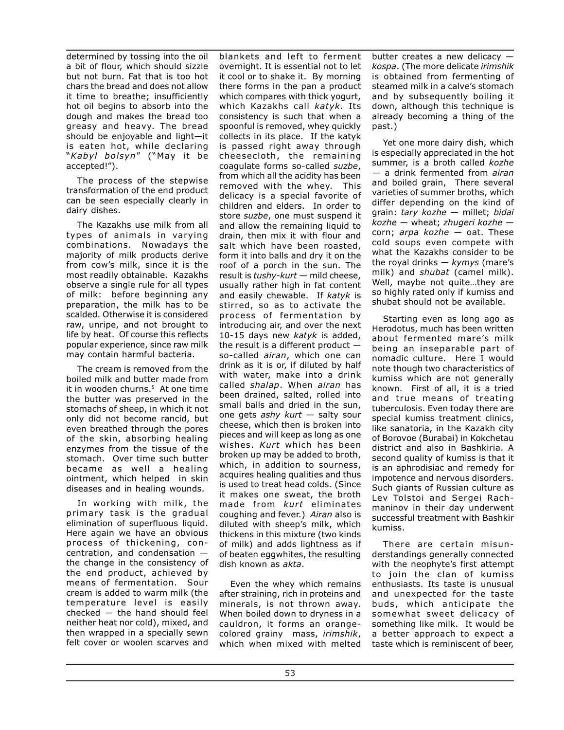determined by tossing into the oil a bit of flour, which should sizzle but not burn. Fat that is too hot chars the bread and does not allow it time to breathe; insufficiently hot oil begins to absorb into the dough and makes the bread too greasy and heavy. The bread should be enjoyable and light—it is eaten hot, while declaring "*Kabyl bolsyn*" ("May it be accepted!").

The process of the stepwise transformation of the end product can be seen especially clearly in dairy dishes.

The Kazakhs use milk from all types of animals in varying combinations. Nowadays the majority of milk products derive from cow's milk, since it is the most readily obtainable. Kazakhs observe a single rule for all types of milk: before beginning any preparation, the milk has to be scalded. Otherwise it is considered raw, unripe, and not brought to life by heat. Of course this reflects popular experience, since raw milk may contain harmful bacteria.

The cream is removed from the boiled milk and butter made from it in wooden churns.<sup>5</sup> At one time the butter was preserved in the stomachs of sheep, in which it not only did not become rancid, but even breathed through the pores of the skin, absorbing healing enzymes from the tissue of the stomach. Over time such butter became as well a healing ointment, which helped in skin diseases and in healing wounds.

In working with milk, the primary task is the gradual elimination of superfluous liquid. Here again we have an obvious process of thickening, concentration, and condensation the change in the consistency of the end product, achieved by means of fermentation. Sour cream is added to warm milk (the temperature level is easily checked — the hand should feel neither heat nor cold), mixed, and then wrapped in a specially sewn felt cover or woolen scarves and

blankets and left to ferment overnight. It is essential not to let it cool or to shake it. By morning there forms in the pan a product which compares with thick yogurt, which Kazakhs call *katyk*. Its consistency is such that when a spoonful is removed, whey quickly collects in its place. If the katyk is passed right away through cheesecloth, the remaining coagulate forms so-called *suzbe*, from which all the acidity has been removed with the whey. This delicacy is a special favorite of children and elders. In order to store *suzbe*, one must suspend it and allow the remaining liquid to drain, then mix it with flour and salt which have been roasted, form it into balls and dry it on the roof of a porch in the sun. The result is *tushy-kurt* — mild cheese, usually rather high in fat content and easily chewable. If *katyk* is stirred, so as to activate the process of fermentation by introducing air, and over the next 10-15 days new *katyk* is added, the result is a different product so-called *airan*, which one can drink as it is or, if diluted by half with water, make into a drink called *shalap*. When *airan* has been drained, salted, rolled into small balls and dried in the sun, one gets *ashy kurt* — salty sour cheese, which then is broken into pieces and will keep as long as one wishes. *Kurt* which has been broken up may be added to broth, which, in addition to sourness, acquires healing qualities and thus is used to treat head colds. (Since it makes one sweat, the broth made from *kurt* eliminates coughing and fever.) *Airan* also is diluted with sheep's milk, which thickens in this mixture (two kinds of milk) and adds lightness as if of beaten eggwhites, the resulting dish known as *akta*.

Even the whey which remains after straining, rich in proteins and minerals, is not thrown away. When boiled down to dryness in a cauldron, it forms an orangecolored grainy mass, *irimshik*, which when mixed with melted

butter creates a new delicacy *kospa*. (The more delicate *irimshik* is obtained from fermenting of steamed milk in a calve's stomach and by subsequently boiling it down, although this technique is already becoming a thing of the past.)

Yet one more dairy dish, which is especially appreciated in the hot summer, is a broth called *kozhe* — a drink fermented from *airan* and boiled grain, There several varieties of summer broths, which differ depending on the kind of grain: *tary kozhe* — millet; *bidai kozhe* — wheat; *zhugeri kozhe*  corn; *arpa kozhe* — oat. These cold soups even compete with what the Kazakhs consider to be the royal drinks — *kymys* (mare's milk) and *shubat* (camel milk). Well, maybe not quite…they are so highly rated only if kumiss and shubat should not be available.

Starting even as long ago as Herodotus, much has been written about fermented mare's milk being an inseparable part of nomadic culture. Here I would note though two characteristics of kumiss which are not generally known. First of all, it is a tried and true means of treating tuberculosis. Even today there are special kumiss treatment clinics, like sanatoria, in the Kazakh city of Borovoe (Burabai) in Kokchetau district and also in Bashkiria. A second quality of kumiss is that it is an aphrodisiac and remedy for impotence and nervous disorders. Such giants of Russian culture as Lev Tolstoi and Sergei Rachmaninov in their day underwent successful treatment with Bashkir kumiss.

There are certain misunderstandings generally connected with the neophyte's first attempt to join the clan of kumiss enthusiasts. Its taste is unusual and unexpected for the taste buds, which anticipate the somewhat sweet delicacy of something like milk. It would be a better approach to expect a taste which is reminiscent of beer,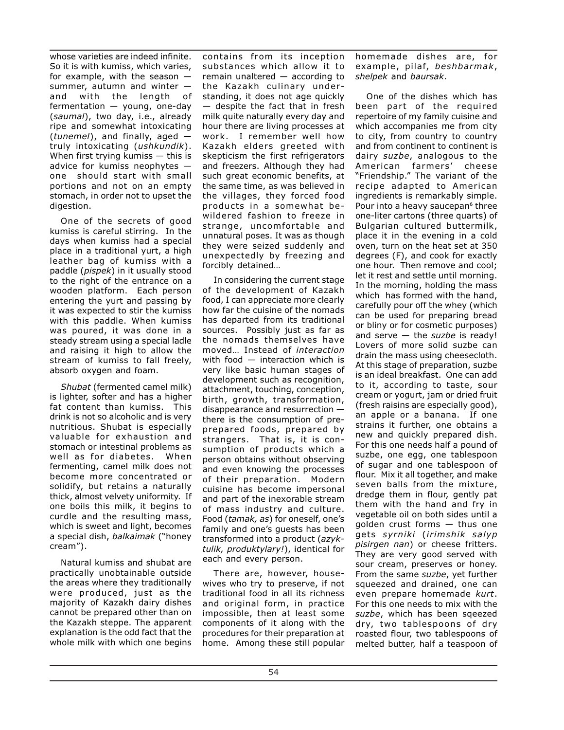whose varieties are indeed infinite. So it is with kumiss, which varies, for example, with the season  $$ summer, autumn and winter and with the length of fermentation — young, one-day (*saumal*), two day, i.e., already ripe and somewhat intoxicating (*tunemel*), and finally, aged truly intoxicating (*ushkundik*). When first trying kumiss  $-$  this is advice for kumiss neophytes one should start with small portions and not on an empty stomach, in order not to upset the digestion.

One of the secrets of good kumiss is careful stirring. In the days when kumiss had a special place in a traditional yurt, a high leather bag of kumiss with a paddle (*pispek*) in it usually stood to the right of the entrance on a wooden platform. Each person entering the yurt and passing by it was expected to stir the kumiss with this paddle. When kumiss was poured, it was done in a steady stream using a special ladle and raising it high to allow the stream of kumiss to fall freely, absorb oxygen and foam.

*Shubat* (fermented camel milk) is lighter, softer and has a higher fat content than kumiss. This drink is not so alcoholic and is very nutritious. Shubat is especially valuable for exhaustion and stomach or intestinal problems as well as for diabetes. When fermenting, camel milk does not become more concentrated or solidify, but retains a naturally thick, almost velvety uniformity. If one boils this milk, it begins to curdle and the resulting mass, which is sweet and light, becomes a special dish, *balkaimak* ("honey cream").

Natural kumiss and shubat are practically unobtainable outside the areas where they traditionally were produced, just as the majority of Kazakh dairy dishes cannot be prepared other than on the Kazakh steppe. The apparent explanation is the odd fact that the whole milk with which one begins

contains from its inception substances which allow it to remain unaltered — according to the Kazakh culinary understanding, it does not age quickly — despite the fact that in fresh milk quite naturally every day and hour there are living processes at work. I remember well how Kazakh elders greeted with skepticism the first refrigerators and freezers. Although they had such great economic benefits, at the same time, as was believed in the villages, they forced food products in a somewhat bewildered fashion to freeze in strange, uncomfortable and unnatural poses. It was as though they were seized suddenly and unexpectedly by freezing and forcibly detained…

In considering the current stage of the development of Kazakh food, I can appreciate more clearly how far the cuisine of the nomads has departed from its traditional sources. Possibly just as far as the nomads themselves have moved… Instead of *interaction* with food — interaction which is very like basic human stages of development such as recognition, attachment, touching, conception, birth, growth, transformation, disappearance and resurrection there is the consumption of preprepared foods, prepared by strangers. That is, it is consumption of products which a person obtains without observing and even knowing the processes of their preparation. Modern cuisine has become impersonal and part of the inexorable stream of mass industry and culture. Food (*tamak, as*) for oneself, one's family and one's guests has been transformed into a product (*azyktulik, produktylary!*), identical for each and every person.

There are, however, housewives who try to preserve, if not traditional food in all its richness and original form, in practice impossible, then at least some components of it along with the procedures for their preparation at home. Among these still popular

homemade dishes are, for example, pilaf, *beshbarmak*, *shelpek* and *baursak*.

One of the dishes which has been part of the required repertoire of my family cuisine and which accompanies me from city to city, from country to country and from continent to continent is dairy *suzbe*, analogous to the American farmers' cheese "Friendship." The variant of the recipe adapted to American ingredients is remarkably simple. Pour into a heavy saucepan<sup>6</sup> three one-liter cartons (three quarts) of Bulgarian cultured buttermilk, place it in the evening in a cold oven, turn on the heat set at 350 degrees (F), and cook for exactly one hour. Then remove and cool; let it rest and settle until morning. In the morning, holding the mass which has formed with the hand, carefully pour off the whey (which can be used for preparing bread or bliny or for cosmetic purposes) and serve — the *suzbe* is ready! Lovers of more solid suzbe can drain the mass using cheesecloth. At this stage of preparation, suzbe is an ideal breakfast. One can add to it, according to taste, sour cream or yogurt, jam or dried fruit (fresh raisins are especially good), an apple or a banana. If one strains it further, one obtains a new and quickly prepared dish. For this one needs half a pound of suzbe, one egg, one tablespoon of sugar and one tablespoon of flour. Mix it all together, and make seven balls from the mixture, dredge them in flour, gently pat them with the hand and fry in vegetable oil on both sides until a golden crust forms — thus one gets *syrniki* (*irimshik salyp pisirgen nan*) or cheese fritters. They are very good served with sour cream, preserves or honey. From the same *suzbe*, yet further squeezed and drained, one can even prepare homemade *kurt*. For this one needs to mix with the *suzbe*, which has been sqeezed dry, two tablespoons of dry roasted flour, two tablespoons of melted butter, half a teaspoon of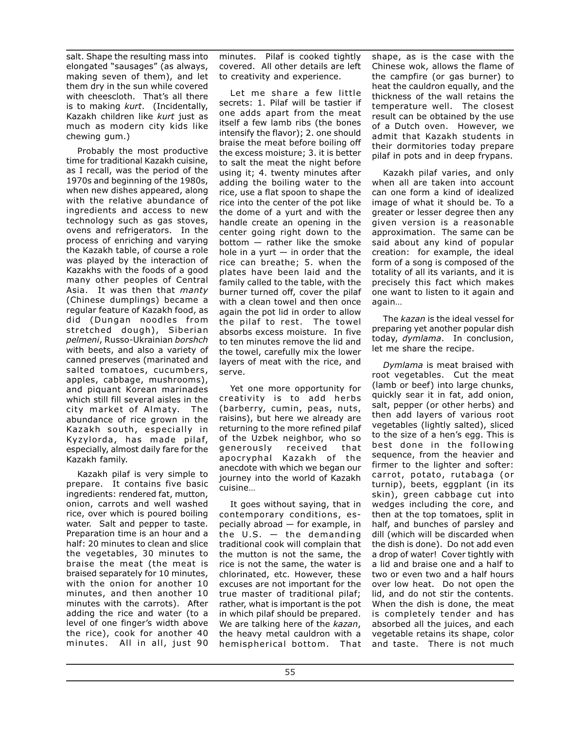salt. Shape the resulting mass into elongated "sausages" (as always, making seven of them), and let them dry in the sun while covered with cheescloth. That's all there is to making *kurt*. (Incidentally, Kazakh children like *kurt* just as much as modern city kids like chewing gum.)

Probably the most productive time for traditional Kazakh cuisine, as I recall, was the period of the 1970s and beginning of the 1980s, when new dishes appeared, along with the relative abundance of ingredients and access to new technology such as gas stoves, ovens and refrigerators. In the process of enriching and varying the Kazakh table, of course a role was played by the interaction of Kazakhs with the foods of a good many other peoples of Central Asia. It was then that *manty* (Chinese dumplings) became a regular feature of Kazakh food, as did (Dungan noodles from stretched dough), Siberian *pelmeni*, Russo-Ukrainian *borshch* with beets, and also a variety of canned preserves (marinated and salted tomatoes, cucumbers, apples, cabbage, mushrooms), and piquant Korean marinades which still fill several aisles in the city market of Almaty. The abundance of rice grown in the Kazakh south, especially in Kyzylorda, has made pilaf, especially, almost daily fare for the Kazakh family.

Kazakh pilaf is very simple to prepare. It contains five basic ingredients: rendered fat, mutton, onion, carrots and well washed rice, over which is poured boiling water. Salt and pepper to taste. Preparation time is an hour and a half: 20 minutes to clean and slice the vegetables, 30 minutes to braise the meat (the meat is braised separately for 10 minutes, with the onion for another 10 minutes, and then another 10 minutes with the carrots). After adding the rice and water (to a level of one finger's width above the rice), cook for another 40 minutes. All in all, just 90

minutes. Pilaf is cooked tightly covered. All other details are left to creativity and experience.

Let me share a few little secrets: 1. Pilaf will be tastier if one adds apart from the meat itself a few lamb ribs (the bones intensify the flavor); 2. one should braise the meat before boiling off the excess moisture; 3. it is better to salt the meat the night before using it; 4. twenty minutes after adding the boiling water to the rice, use a flat spoon to shape the rice into the center of the pot like the dome of a yurt and with the handle create an opening in the center going right down to the bottom — rather like the smoke hole in a yurt  $-$  in order that the rice can breathe; 5. when the plates have been laid and the family called to the table, with the burner turned off, cover the pilaf with a clean towel and then once again the pot lid in order to allow the pilaf to rest. The towel absorbs excess moisture. In five to ten minutes remove the lid and the towel, carefully mix the lower layers of meat with the rice, and serve.

Yet one more opportunity for creativity is to add herbs (barberry, cumin, peas, nuts, raisins), but here we already are returning to the more refined pilaf of the Uzbek neighbor, who so generously received that apocryphal Kazakh of the anecdote with which we began our journey into the world of Kazakh cuisine…

It goes without saying, that in contemporary conditions, especially abroad — for example, in the  $U.S.$  — the demanding traditional cook will complain that the mutton is not the same, the rice is not the same, the water is chlorinated, etc. However, these excuses are not important for the true master of traditional pilaf; rather, what is important is the pot in which pilaf should be prepared. We are talking here of the *kazan*, the heavy metal cauldron with a hemispherical bottom. That shape, as is the case with the Chinese wok, allows the flame of the campfire (or gas burner) to heat the cauldron equally, and the thickness of the wall retains the temperature well. The closest result can be obtained by the use of a Dutch oven. However, we admit that Kazakh students in their dormitories today prepare pilaf in pots and in deep frypans.

Kazakh pilaf varies, and only when all are taken into account can one form a kind of idealized image of what it should be. To a greater or lesser degree then any given version is a reasonable approximation. The same can be said about any kind of popular creation: for example, the ideal form of a song is composed of the totality of all its variants, and it is precisely this fact which makes one want to listen to it again and again…

The *kazan* is the ideal vessel for preparing yet another popular dish today, *dymlama*. In conclusion, let me share the recipe.

*Dymlama* is meat braised with root vegetables. Cut the meat (lamb or beef) into large chunks, quickly sear it in fat, add onion, salt, pepper (or other herbs) and then add layers of various root vegetables (lightly salted), sliced to the size of a hen's egg. This is best done in the following sequence, from the heavier and firmer to the lighter and softer: carrot, potato, rutabaga (or turnip), beets, eggplant (in its skin), green cabbage cut into wedges including the core, and then at the top tomatoes, split in half, and bunches of parsley and dill (which will be discarded when the dish is done). Do not add even a drop of water! Cover tightly with a lid and braise one and a half to two or even two and a half hours over low heat. Do not open the lid, and do not stir the contents. When the dish is done, the meat is completely tender and has absorbed all the juices, and each vegetable retains its shape, color and taste. There is not much